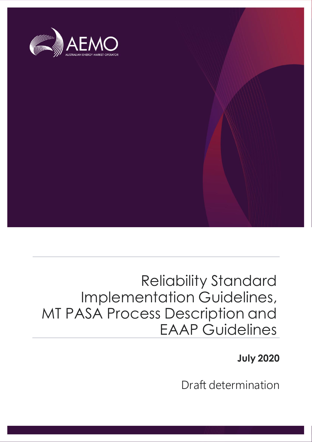

## Reliability Standard Implementation Guidelines, MT PASA Process Description and EAAP Guidelines

**July 2020**

Draft determination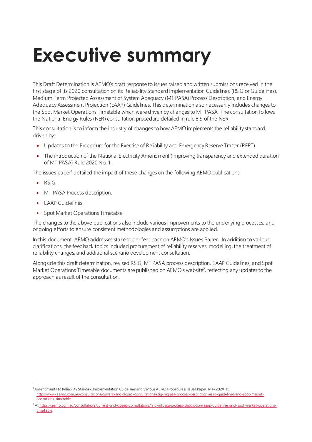# <span id="page-1-0"></span>**Executive summary**

This Draft Determination is AEMO's draft response to issues raised and written submissions received in the first stage of its 2020 consultation on its Reliability Standard Implementation Guidelines (RSIG or Guidelines), Medium Term Projected Assessment of System Adequacy (MT PASA) Process Description, and Energy Adequacy Assessment Projection (EAAP) Guidelines. This determination also necessarily includes changes to the Spot Market Operations Timetable which were driven by changes to MT PASA. The consultation follows the National Energy Rules (NER) consultation procedure detailed in rule 8.9 of the NER.

This consultation is to inform the industry of changes to how AEMO implements the reliability standard, driven by:

- Updates to the Procedure for the Exercise of Reliability and Emergency Reserve Trader (RERT).
- The introduction of the National Electricity Amendment (Improving transparency and extended duration of MT PASA) Rule 2020 No. 1.

The issues paper<sup>1</sup> detailed the impact of these changes on the following AEMO publications:

- RSIG.
- MT PASA Process description.
- **EAAP Guidelines.**
- Spot Market Operations Timetable

The changes to the above publications also include various improvements to the underlying processes, and ongoing efforts to ensure consistent methodologies and assumptions are applied.

In this document, AEMO addresses stakeholder feedback on AEMO's Issues Paper. In addition to various clarifications, the feedback topics included procurement of reliability reserves, modelling, the treatment of reliability changes, and additional scenario development consultation.

Alongside this draft determination, revised RSIG, MT PASA process description, EAAP Guidelines, and Spot Market Operations Timetable documents are published on  $AEMO's$  website<sup>2</sup>, reflecting any updates to the approach as result of the consultation.

<sup>1</sup> Amendments to Reliability Standard Implementation Guidelines and Various AEMO Procedures: Issues Paper, May 2020, at [https://www.aemo.com.au/consultations/current-and-closed-consultations/rsig-mtpasa-process-description-eaap-guidelines-and-spot-market](https://www.aemo.com.au/consultations/current-and-closed-consultations/rsig-mtpasa-process-description-eaap-guidelines-and-spot-market-operations-timetable)[operations-timetable](https://www.aemo.com.au/consultations/current-and-closed-consultations/rsig-mtpasa-process-description-eaap-guidelines-and-spot-market-operations-timetable).

<sup>&</sup>lt;sup>2</sup> A[t https://aemo.com.au/consultations/current-and-closed-consultations/rsig-mtpasa-process-description-eaap-guidelines-and-spot-market-operations](https://aemo.com.au/consultations/current-and-closed-consultations/rsig-mtpasa-process-description-eaap-guidelines-and-spot-market-operations-timetable)[timetable](https://aemo.com.au/consultations/current-and-closed-consultations/rsig-mtpasa-process-description-eaap-guidelines-and-spot-market-operations-timetable).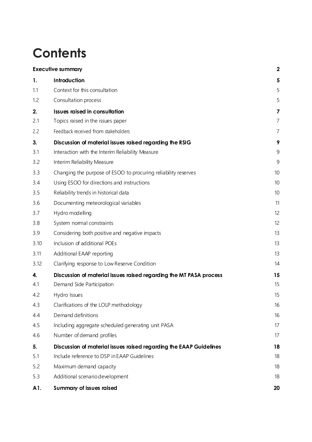## **Contents**

|      | <b>Executive summary</b>                                           |                |
|------|--------------------------------------------------------------------|----------------|
| 1.   | Introduction                                                       | 5              |
| 1.1  | Context for this consultation                                      | 5              |
| 1.2  | Consultation process                                               | 5              |
| 2.   | <b>Issues raised in consultation</b>                               | 7              |
| 2.1  | Topics raised in the issues paper                                  | 7              |
| 2.2  | Feedback received from stakeholders                                | $\overline{7}$ |
| 3.   | Discussion of material issues raised regarding the RSIG            | 9              |
| 3.1  | Interaction with the Interim Reliability Measure                   | 9              |
| 3.2  | Interim Reliability Measure                                        | 9              |
| 3.3  | Changing the purpose of ESOO to procuring reliability reserves     | 10             |
| 3.4  | Using ESOO for directions and instructions                         | 10             |
| 3.5  | Reliability trends in historical data                              | 10             |
| 3.6  | Documenting meteorological variables                               | 11             |
| 3.7  | Hydro modelling                                                    | 12             |
| 3.8  | System nomal constraints                                           | 12             |
| 3.9  | Considering both positive and negative impacts                     | 13             |
| 3.10 | Inclusion of additional POEs                                       | 13             |
| 3.11 | Additional EAAP reporting                                          | 13             |
| 3.12 | Clarifying response to Low Reserve Condition                       | 14             |
| 4.   | Discussion of material issues raised regarding the MT PASA process | 15             |
| 4.1  | Demand Side Participation                                          | 15             |
| 4.2  | Hydro Issues                                                       | 15             |
| 4.3  | Clarifications of the LOLP methodology                             | 16             |
| 4.4  | Demand definitions                                                 | 16             |
| 4.5  | Including aggregate scheduled generating unit PASA                 | 17             |
| 4.6  | Number of demand profiles                                          | 17             |
| 5.   | Discussion of material issues raised regarding the EAAP Guidelines | 18             |
| 5.1  | Include reference to DSP in EAAP Guidelines                        | 18             |
| 5.2  | Maximum demand capacity                                            | 18             |
| 5.3  | Additional scenario development                                    | 18             |
| A1.  | Summary of issues raised                                           | 20             |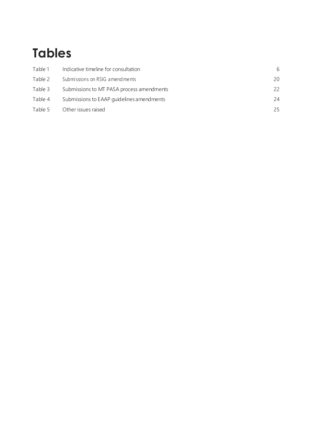## **Tables**

| Table 1 | Indicative timeline for consultation      | 6  |
|---------|-------------------------------------------|----|
| Table 2 | Submissions on RSIG a mend ments          | 20 |
| Table 3 | Submissions to MT PASA process amendments | 22 |
| Table 4 | Submissions to EAAP quidelines amendments | 24 |
| Table 5 | Other issues raised                       | 25 |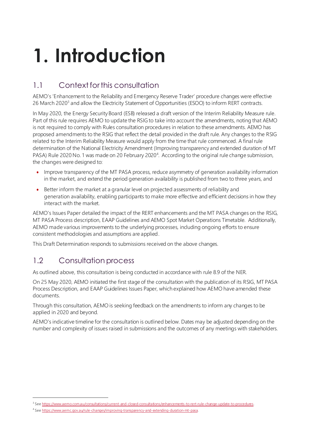# <span id="page-4-0"></span>**1. Introduction**

## <span id="page-4-1"></span>1.1 Context for this consultation

AEMO's 'Enhancement to the Reliability and Emergency Reserve Trader' procedure changes were effective 26 March 2020<sup>3</sup> and allow the Electricity Statement of Opportunities (ESOO) to inform RERT contracts.

In May 2020, the Energy Security Board (ESB) released a draft version of the Interim Reliability Measure rule. Part of this rule requires AEMO to update the RSIG to take into account the amendments, noting that AEMO is not required to comply with Rules consultation procedures in relation to these amendments. AEMO has proposed amendments to the RSIG that reflect the detail provided in the draft rule. Any changes to the RSIG related to the Interim Reliability Measure would apply from the time that rule commenced. A final rule determination of the National Electricity Amendment (Improving transparency and extended duration of MT PASA) Rule 2020 No. 1 was made on 20 February 2020<sup>4</sup>. According to the original rule change submission, the changes were designed to:

- Improve transparency of the MT PASA process, reduce asymmetry of generation availability information in the market, and extend the period generation availability is published from two to three years, and
- Better inform the market at a granular level on projected assessments of reliability and generation availability, enabling participants to make more effective and efficient decisions in how they interact with the market.

AEMO's Issues Paper detailed the impact of the RERT enhancements and the MT PASA changes on the RSIG, MT PASA Process description, EAAP Guidelines and AEMO Spot Market Operations Timetable. Additionally, AEMO made various improvements to the underlying processes, including ongoing efforts to ensure consistent methodologies and assumptions are applied.

This Draft Determination responds to submissions received on the above changes.

## <span id="page-4-2"></span>1.2 Consultation process

As outlined above, this consultation is being conducted in accordance with rule 8.9 of the NER.

On 25 May 2020, AEMO initiated the first stage of the consultation with the publication of its RSIG, MT PASA Process Description, and EAAP Guidelines Issues Paper, which explained how AEMO have amended these documents.

Through this consultation, AEMO is seeking feedback on the amendments to inform any changes to be applied in 2020 and beyond.

AEMO's indicative timeline for the consultation is outlined below. Dates may be adjusted depending on the number and complexity of issues raised in submissions and the outcomes of any meetings with stakeholders.

<sup>&</sup>lt;sup>3</sup> Se[e https://www.aemo.com.au/consultations/current-and-closed-consultations/enhancements-to-rert-rule-change-update-to-procedures](https://www.aemo.com.au/consultations/current-and-closed-consultations/enhancements-to-rert-rule-change-update-to-procedures).

<sup>4</sup> Se[e https://www.aemc.gov.au/rule-changes/improving-transparency-and-extending-duration-mt-pasa](https://www.aemc.gov.au/rule-changes/improving-transparency-and-extending-duration-mt-pasa).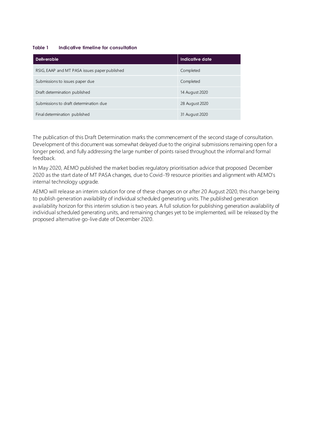#### <span id="page-5-0"></span>**Table 1 Indicative timeline for consultation**

| <b>Deliverable</b>                            | Indicative date |
|-----------------------------------------------|-----------------|
| RSIG, EAAP and MT PASA issues paper published | Completed       |
| Submissions to issues paper due               | Completed       |
| Draft determination published                 | 14 August 2020  |
| Submissions to draft determination due        | 28 August 2020  |
| Final determination published                 | 31 August 2020  |

The publication of this Draft Determination marks the commencement of the second stage of consultation. Development of this document was somewhat delayed due to the original submissions remaining open for a longer period, and fully addressing the large number of points raised throughout the informal and formal feedback.

In May 2020, AEMO published the market bodies regulatory prioritisation advice that proposed December 2020 as the start date of MT PASA changes, due to Covid-19 resource priorities and alignment with AEMO's internal technology upgrade.

AEMO will release an interim solution for one of these changes on or after 20 August 2020, this change being to publish generation availability of individual scheduled generating units. The published generation availability horizon for this interim solution is two years. A full solution for publishing generation availability of individual scheduled generating units, and remaining changes yet to be implemented, will be released by the proposed alternative go-live date of December 2020.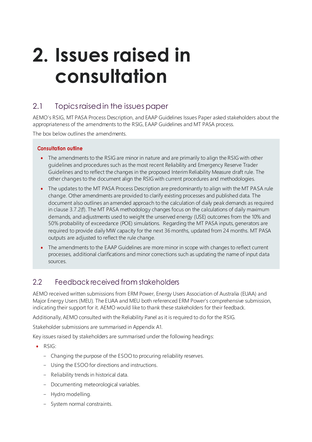# <span id="page-6-0"></span>**2. Issues raised in consultation**

## <span id="page-6-1"></span>2.1 Topicsraised in the issues paper

AEMO's RSIG, MT PASA Process Description, and EAAP Guidelines Issues Paper asked stakeholders about the appropriateness of the amendments to the RSIG, EAAP Guidelines and MT PASA process.

The box below outlines the amendments.

#### **Consultation outline**

- The amendments to the RSIG are minor in nature and are primarily to align the RSIG with other guidelines and procedures such as the most recent Reliability and Emergency Reserve Trader Guidelines and to reflect the changes in the proposed Interim Reliability Measure draft rule. The other changes to the document align the RSIG with current procedures and methodologies.
- The updates to the MT PASA Process Description are predominantly to align with the MT PASA rule change. Other amendments are provided to clarify existing processes and published data. The document also outlines an amended approach to the calculation of daily peak demands as required in clause 3.7.2(f). The MT PASA methodology changes focus on the calculations of daily maximum demands, and adjustments used to weight the unserved energy (USE) outcomes from the 10% and 50% probability of exceedance (POE) simulations. Regarding the MT PASA inputs, generators are required to provide daily MW capacity for the next 36 months, updated from 24 months. MT PASA outputs are adjusted to reflect the rule change.
- The amendments to the EAAP Guidelines are more minor in scope with changes to reflect current processes, additional clarifications and minor corrections such as updating the name of input data sources.

## <span id="page-6-2"></span>2.2 Feedback received from stakeholders

AEMO received written submissions from ERM Power, Energy Users Association of Australia (EUAA) and Major Energy Users (MEU). The EUAA and MEU both referenced ERM Power's comprehensive submission, indicating their support for it. AEMO would like to thank these stakeholders for their feedback.

Additionally, AEMO consulted with the Reliability Panel as it is required to do for the RSIG.

Stakeholder submissions are summarised in Appendix A1.

Key issues raised by stakeholders are summarised under the following headings:

- RSIG:
	- Changing the purpose of the ESOO to procuring reliability reserves.
	- Using the ESOO for directions and instructions.
	- Reliability trends in historical data.
	- Documenting meteorological variables.
	- Hydro modelling.
	- System normal constraints.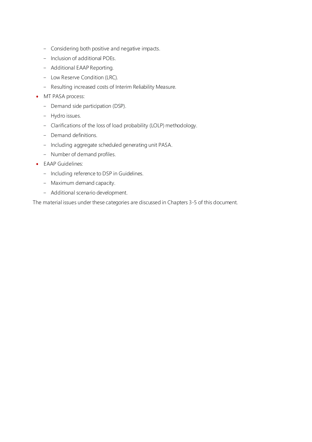- Considering both positive and negative impacts.
- Inclusion of additional POEs.
- Additional EAAP Reporting.
- Low Reserve Condition (LRC).
- Resulting increased costs of Interim Reliability Measure.
- MT PASA process:
	- Demand side participation (DSP).
	- Hydro issues.
	- Clarifications of the loss of load probability (LOLP) methodology.
	- Demand definitions.
	- Including aggregate scheduled generating unit PASA.
	- Number of demand profiles.
- EAAP Guidelines:
	- Including reference to DSP in Guidelines.
	- Maximum demand capacity.
	- Additional scenario development.

The material issues under these categories are discussed in Chapters 3-5 of this document.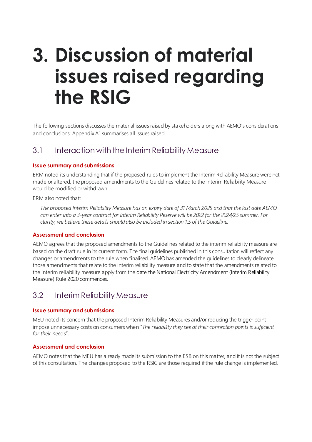## <span id="page-8-3"></span><span id="page-8-0"></span>**3. Discussion of material issues raised regarding the RSIG**

The following sections discusses the material issues raised by stakeholders along with AEMO's considerations and conclusions. Appendix A1 summarises all issues raised.

### <span id="page-8-1"></span>3.1 Interaction with the Interim Reliability Measure

#### <span id="page-8-4"></span>**Issue summary and submissions**

ERM noted its understanding that if the proposed rules to implement the Interim Reliability Measure were not made or altered, the proposed amendments to the Guidelines related to the Interim Reliability Measure would be modified or withdrawn.

ERM also noted that:

*The proposed Interim Reliability Measure has an expiry date of 31 March 2025 and that the last date AEMO can enter into a 3-year contract for Interim Reliability Reserve will be 2022 for the 2024/25 summer. For clarity, we believe these details should also be included in section 1.5 of the Guideline.*

#### **Assessment and conclusion**

AEMO agrees that the proposed amendments to the Guidelines related to the interim reliability measure are based on the draft rule in its current form. The final guidelines published in this consultation will reflect any changes or amendments to the rule when finalised. AEMO has amended the guidelines to clearly delineate those amendments that relate to the interim reliability measure and to state that the amendments related to the interim reliability measure apply from the date the National Electricity Amendment (Interim Reliability Measure) Rule 2020 commences.

### <span id="page-8-2"></span>3.2 Interim Reliability Measure

#### **Issue summary and submissions**

MEU noted its concern that the proposed Interim Reliability Measures and/or reducing the trigger point impose unnecessary costs on consumers when "*The reliability they see at their connection points is sufficient for their nee*ds".

#### **Assessment and conclusion**

AEMO notes that the MEU has already made its submission to the ESB on this matter, and it is not the subject of this consultation. The changes proposed to the RSIG are those required if the rule change is implemented.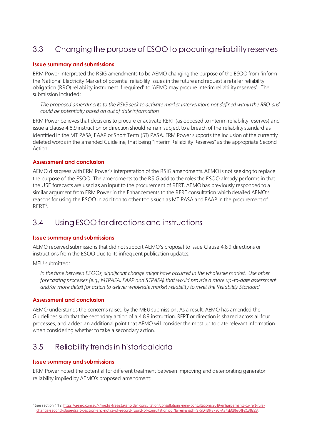## <span id="page-9-3"></span><span id="page-9-0"></span>3.3 Changing the purpose of ESOO to procuring reliability reserves

#### **Issue summary and submissions**

<span id="page-9-4"></span>ERM Power interpreted the RSIG amendments to be AEMO changing the purpose of the ESOO from 'inform the National Electricity Market of potential reliability issues in the future and request a retailer reliability obligation (RRO) reliability instrument if required' to 'AEMO may procure interim reliability reserves'. The submission included:

*The proposed amendments to the RSIG seek to activate market interventions not defined within the RRO and could be potentially based on out of date information.* 

ERM Power believes that decisions to procure or activate RERT (as opposed to interim reliability reserves) and issue a clause 4.8.9 instruction or direction should remain subject to a breach of the reliability standard as identified in the MT PASA, EAAP or Short Term (ST) PASA. ERM Power supports the inclusion of the currently deleted words in the amended Guideline, that being "Interim Reliability Reserves" as the appropriate Second Action.

#### **Assessment and conclusion**

AEMO disagrees with ERM Power's interpretation of the RSIG amendments. AEMO is not seeking to replace the purpose of the ESOO. The amendments to the RSIG add to the roles the ESOO already performs in that the USE forecasts are used as an input to the procurement of RERT. AEMO has previously responded to a similar argument from ERM Power in the Enhancements to the RERT consultation which detailed AEMO's reasons for using the ESOO in addition to other tools such as MT PASA and EAAP in the procurement of RERT<sup>5</sup>.

### <span id="page-9-5"></span><span id="page-9-1"></span>3.4 Using ESOO for directions and instructions

#### **Issue summary and submissions**

AEMO received submissions that did not support AEMO's proposal to issue Clause 4.8.9 directions or instructions from the ESOO due to its infrequent publication updates.

MEU submitted:

*In the time between ESOOs, significant change might have occurred in the wholesale market. Use other forecasting processes (e.g.; MTPASA, EAAP and STPASA) that would provide a more up-to-date assessment and/or more detail for action to deliver wholesale market reliability to meet the Reliability Standard.*

#### **Assessment and conclusion**

AEMO understands the concerns raised by the MEU submission. As a result, AEMO has amended the Guidelines such that the secondary action of a 4.8.9 instruction, RERT or direction is shared across all four processes, and added an additional point that AEMO will consider the most up to date relevant information when considering whether to take a secondary action.

## <span id="page-9-2"></span>3.5 Reliability trends in historical data

#### **Issue summary and submissions**

ERM Power noted the potential for different treatment between improving and deteriorating generator reliability implied by AEMO's proposed amendment:

<sup>&</sup>lt;sup>5</sup> See section 4.1.[2: https://aemo.com.au/-/media/files/stakeholder\\_consultation/consultations/nem-consultations/2019/enhancements-to-rert-rule](https://aemo.com.au/-/media/files/stakeholder_consultation/consultations/nem-consultations/2019/enhancements-to-rert-rule-change/second-stage/draft-decision-and-notice-of-second-round-of-consultation.pdf?la=en&hash=9F5D481F8790FA375E086901F2C38223)[change/second-stage/draft-decision-and-notice-of-second-round-of-consultation.pdf?la=en&hash=9F5D481F8790FA375E086901F2C38223](https://aemo.com.au/-/media/files/stakeholder_consultation/consultations/nem-consultations/2019/enhancements-to-rert-rule-change/second-stage/draft-decision-and-notice-of-second-round-of-consultation.pdf?la=en&hash=9F5D481F8790FA375E086901F2C38223).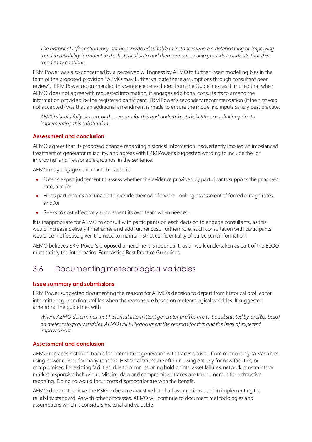*The historical information may not be considered suitable in instances where a deteriorating or improving trend in reliability is evident in the historical data and there are reasonable grounds to indicate that this trend may continue.* 

ERM Power was also concerned by a perceived willingness by AEMO to further insert modelling bias in the form of the proposed provision "AEMO may further validate these assumptions through consultant peer review". ERM Power recommended this sentence be excluded from the Guidelines, as it implied that when AEMO does not agree with requested information, it engages additional consultants to amend the information provided by the registered participant. ERM Power's secondary recommendation (if the first was not accepted) was that an additional amendment is made to ensure the modelling inputs satisfy best practice:

*AEMO should fully document the reasons for this and undertake stakeholder consultation prior to implementing this substitution*.

#### <span id="page-10-1"></span>**Assessment and conclusion**

AEMO agrees that its proposed change regarding historical information inadvertently implied an imbalanced treatment of generator reliability, and agrees with ERM Power's suggested wording to include the 'or improving' and 'reasonable grounds' in the sentence.

AEMO may engage consultants because it:

- Needs expert judgement to assess whether the evidence provided by participants supports the proposed rate, and/or
- Finds participants are unable to provide their own forward-looking assessment of forced outage rates, and/or
- Seeks to cost effectively supplement its own team when needed.

It is inappropriate for AEMO to consult with participants on each decision to engage consultants, as this would increase delivery timeframes and add further cost. Furthermore, such consultation with participants would be ineffective given the need to maintain strict confidentiality of participant information.

AEMO believes ERM Power's proposed amendment is redundant, as all work undertaken as part of the ESOO must satisfy the interim/final Forecasting Best Practice Guidelines.

### <span id="page-10-0"></span>3.6 Documenting meteorological variables

#### **Issue summary and submissions**

ERM Power suggested documenting the reasons for AEMO's decision to depart from historical profiles for intermittent generation profiles when the reasons are based on meteorological variables. It suggested amending the guidelines with:

*Where AEMO determines that historical intermittent generator profiles are to be substituted by profiles based on meteorological variables, AEMO will fully document the reasons for this and the level of expected improvement.*

#### **Assessment and conclusion**

AEMO replaces historical traces for intermittent generation with traces derived from meteorological variables using power curves for many reasons. Historical traces are often missing entirely for new facilities, or compromised for existing facilities, due to commissioning hold points, asset failures, network constraints or market responsive behaviour. Missing data and compromised traces are too numerous for exhaustive reporting. Doing so would incur costs disproportionate with the benefit.

AEMO does not believe the RSIG to be an exhaustive list of all assumptions used in implementing the reliability standard. As with other processes, AEMO will continue to document methodologies and assumptions which it considers material and valuable.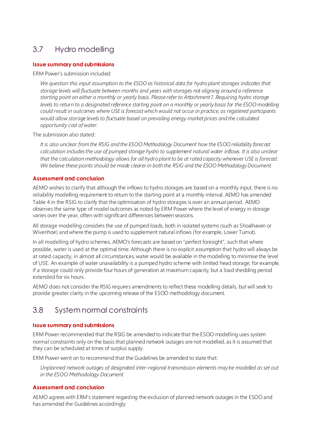## <span id="page-11-2"></span><span id="page-11-0"></span>3.7 Hydro modelling

#### **Issue summary and submissions**

ERM Power's submission included:

*We question this input assumption to the ESOO as historical data for hydro plant storages indicates that storage levels will fluctuate between months and years with storages not aligning around a reference starting point on either a monthly or yearly basis. Please refer to Attachment 1. Requiring hydro storage levels to return to a designated reference starting point on a monthly or yearly basis for the ESOO modelling could result in outcomes where USE is forecast which would not occur in practice, as registered participants would allow storage levels to fluctuate based on prevailing energy market prices and the calculated opportunity cost of water.*

The submission also stated:

*It is also unclear from the RSIG and the ESOO Methodology Document how the ESOO reliability forecast calculation includes the use of pumped storage hydro to supplement natural water inflows. It is also unclear that the calculation methodology allows for all hydro plant to be at rated capacity whenever USE is forecast. We believe these points should be made clearer in both the RSIG and the ESOO Methodology Document.* 

#### <span id="page-11-3"></span>**Assessment and conclusion**

AEMO wishes to clarify that although the inflows to hydro storages are based on a monthly input, there is no reliability modelling requirement to return to the starting point at a monthly interval. AEMO has amended Table 4 in the RSIG to clarify that the optimisation of hydro storages is over an annual period. AEMO observes the same type of model outcomes as noted by ERM Power where the level of energy in storage varies over the year, often with significant differences between seasons.

All storage modelling considers the use of pumped loads, both in isolated systems (such as Shoalhaven or Wivenhoe) and where the pump is used to supplement natural inflows (for example, Lower Tumut).

In all modelling of hydro schemes, AEMO's forecasts are based on "perfect foresight", such that where possible, water is used at the optimal time. Although there is no explicit assumption that hydro will always be at rated capacity, in almost all circumstances, water would be available in the modelling to minimise the level of USE. An example of water unavailability is a pumped hydro scheme with limited head storage; for example, if a storage could only provide four hours of generation at maximum capacity, but a load shedding period extended for six hours.

AEMO does not consider the RSIG requires amendments to reflect these modelling details, but will seek to provide greater clarity in the upcoming release of the ESOO methodology document.

## <span id="page-11-1"></span>3.8 System normal constraints

#### **Issue summary and submissions**

ERM Power recommended that the RSIG be amended to indicate that the ESOO modelling uses system normal constraints only on the basis that planned network outages are not modelled, as it is assumed that they can be scheduled at times of surplus supply.

ERM Power went on to recommend that the Guidelines be amended to state that:

*Unplanned network outages of designated inter-regional transmission elements may be modelled as set out in the ESOO Methodology Document.*

#### **Assessment and conclusion**

AEMO agrees with ERM's statement regarding the exclusion of planned network outages in the ESOO and has amended the Guidelines accordingly.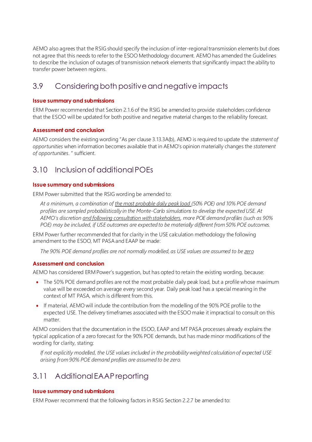<span id="page-12-4"></span><span id="page-12-3"></span>AEMO also agrees that the RSIG should specify the inclusion of inter-regional transmission elements but does not agree that this needs to refer to the ESOO Methodology document. AEMO has amended the Guidelines to describe the inclusion of outages of transmission network elements that significantly impact the ability to transfer power between regions.

## <span id="page-12-0"></span>3.9 Considering both positive and negative impacts

#### **Issue summary and submissions**

ERM Power recommended that Section 2.1.6 of the RSIG be amended to provide stakeholders confidence that the ESOO will be updated for both positive and negative material changes to the reliability forecast.

#### **Assessment and conclusion**

AEMO considers the existing wording "As per clause 3.13.3A(b), AEMO is required to update the *statement of opportunities* when information becomes available that in AEMO's opinion materially changes the *statement of opportunities*. " sufficient.

## <span id="page-12-1"></span>3.10 Inclusion of additional POEs

#### **Issue summary and submissions**

ERM Power submitted that the RSIG wording be amended to:

*At a minimum, a combination of the most probable daily peak load (50% POE) and 10% POE demand profiles are sampled probabilistically in the Monte-Carlo simulations to develop the expected USE. At AEMO's discretion and following consultation with stakeholders, more POE demand profiles (such as 90% POE) may be included, if USE outcomes are expected to be materially different from 50% POE outcomes.*

<span id="page-12-5"></span>ERM Power further recommended that for clarity in the USE calculation methodology the following amendment to the ESOO, MT PASA and EAAP be made:

*The 90% POE demand profiles are not normally modelled, as USE values are assumed to be zero*

#### **Assessment and conclusion**

AEMO has considered ERM Power's suggestion, but has opted to retain the existing wording, because:

- The 50% POE demand profiles are not the most probable daily peak load, but a profile whose maximum value will be exceeded on average every second year. Daily peak load has a special meaning in the context of MT PASA, which is different from this.
- If material, AEMO will include the contribution from the modelling of the 90% POE profile to the expected USE. The delivery timeframes associated with the ESOO make it impractical to consult on this matter.

AEMO considers that the documentation in the ESOO, EAAP and MT PASA processes already explains the typical application of a zero forecast for the 90% POE demands, but has made minor modifications of the wording for clarity, stating:

*If not explicitly modelled, the USE values included in the probability weighted calculation of expected USE arising from 90% POE demand profiles are assumed to be zero.*

## <span id="page-12-2"></span>3.11 Additional EAAP reporting

#### **Issue summary and submissions**

ERM Power recommend that the following factors in RSIG Section 2.2.7 be amended to: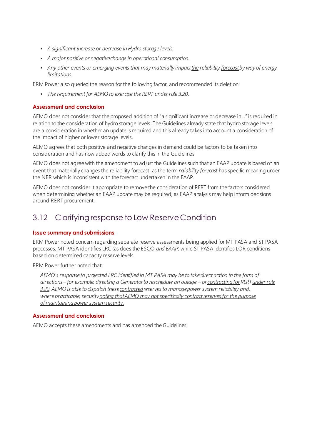- *•  A significant increase or decrease in Hydro storage levels.*
- *A major positive or negativechange in operational consumption.*
- *Any other events or emerging events that may materially impact the reliability forecastby way of energy limitations.*

<span id="page-13-1"></span>ERM Power also queried the reason for the following factor, and recommended its deletion:

*• The requirement for AEMO to exercise the RERT under rule 3.20.*

#### **Assessment and conclusion**

AEMO does not consider that the proposed addition of "a significant increase or decrease in…" is required in relation to the consideration of hydro storage levels. The Guidelines already state that hydro storage levels are a consideration in whether an update is required and this already takes into account a consideration of the impact of higher or lower storage levels.

AEMO agrees that both positive and negative changes in demand could be factors to be taken into consideration and has now added words to clarify this in the Guidelines.

AEMO does not agree with the amendment to adjust the Guidelines such that an EAAP update is based on an event that materially changes the reliability forecast, as the term *reliability forecast* has specific meaning under the NER which is inconsistent with the forecast undertaken in the EAAP.

AEMO does not consider it appropriate to remove the consideration of RERT from the factors considered when determining whether an EAAP update may be required, as EAAP analysis may help inform decisions around RERT procurement.

### <span id="page-13-0"></span>3.12 Clarifying response to Low Reserve Condition

#### **Issue summary and submissions**

ERM Power noted concern regarding separate reserve assessments being applied for MT PASA and ST PASA processes. MT PASA identifies LRC (as does the ESOO *and EAAP*) while ST PASA identifies LOR conditions based on determined capacity reserve levels.

ERM Power further noted that:

*AEMO's response to projected LRC identified in MT PASA may be to take direct action in the form of directions – for example, directing a Generator to reschedule an outage – or contracting forRERT under rule 3.20. AEMO is able to dispatch these contractedreserves to manage power system reliability and, where practicable, security noting that AEMO may not specifically contract reserves for the purpose of maintaining power system security.*

#### **Assessment and conclusion**

AEMO accepts these amendments and has amended the Guidelines.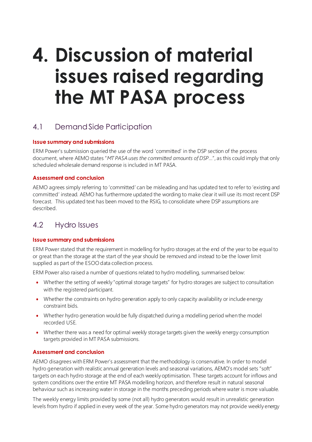## <span id="page-14-3"></span><span id="page-14-0"></span>**4. Discussion of material issues raised regarding the MT PASA process**

## <span id="page-14-4"></span><span id="page-14-1"></span>4.1 Demand Side Participation

#### **Issue summary and submissions**

ERM Power's submission queried the use of the word 'committed' in the DSP section of the process document, where AEMO states "*MT PASA uses the committed amounts of DSP*…", as this could imply that only scheduled wholesale demand response is included in MT PASA.

#### **Assessment and conclusion**

AEMO agrees simply referring to 'committed' can be misleading and has updated text to refer to 'existing and committed' instead. AEMO has furthermore updated the wording to make clear it will use its most recent DSP forecast. This updated text has been moved to the RSIG, to consolidate where DSP assumptions are described.

### <span id="page-14-2"></span>4.2 Hydro Issues

#### **Issue summary and submissions**

ERM Power stated that the requirement in modelling for hydro storages at the end of the year to be equal to or great than the storage at the start of the year should be removed and instead to be the lower limit supplied as part of the ESOO data collection process.

ERM Power also raised a number of questions related to hydro modelling, summarised below:

- Whether the setting of weekly "optimal storage targets" for hydro storages are subject to consultation with the registered participant.
- Whether the constraints on hydro generation apply to only capacity availability or include energy constraint bids.
- Whether hydro generation would be fully dispatched during a modelling period when the model recorded USE.
- Whether there was a need for optimal weekly storage targets given the weekly energy consumption targets provided in MT PASA submissions.

#### **Assessment and conclusion**

AEMO disagrees with ERM Power's assessment that the methodology is conservative. In order to model hydro generation with realistic annual generation levels and seasonal variations, AEMO's model sets "soft" targets on each hydro storage at the end of each weekly optimisation. These targets account for inflows and system conditions over the entire MT PASA modelling horizon, and therefore result in natural seasonal behaviour such as increasing water in storage in the months preceding periods where water is more valuable.

The weekly energy limits provided by some (not all) hydro generators would result in unrealistic generation levels from hydro if applied in every week of the year. Some hydro generators may not provide weekly energy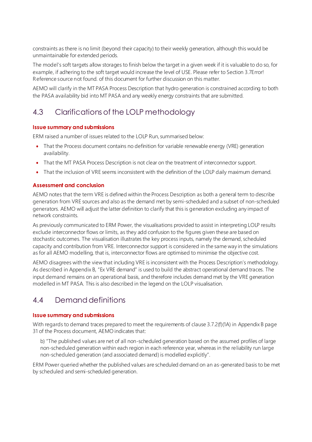<span id="page-15-2"></span>constraints as there is no limit (beyond their capacity) to their weekly generation, although this would be unmaintainable for extended periods.

The model's soft targets allow storages to finish below the target in a given week if it is valuable to do so, for example, if adhering to the soft target would increase the level of USE. Please refer to Sectio[n 3.7](#page-11-0)Error! Reference source not found. of this document for further discussion on this matter.

AEMO will clarify in the MT PASA Process Description that hydro generation is constrained according to both the PASA availability bid into MT PASA and any weekly energy constraints that are submitted.

## <span id="page-15-0"></span>4.3 Clarifications of the LOLP methodology

#### **Issue summary and submissions**

ERM raised a number of issues related to the LOLP Run, summarised below:

- That the Process document contains no definition for variable renewable energy (VRE) generation availability.
- <span id="page-15-3"></span>• That the MT PASA Process Description is not clear on the treatment of interconnector support.
- That the inclusion of VRE seems inconsistent with the definition of the LOLP daily maximum demand.

#### **Assessment and conclusion**

AEMO notes that the term VRE is defined within the Process Description as both a general term to describe generation from VRE sources and also as the demand met by semi-scheduled and a subset of non-scheduled generators. AEMO will adjust the latter definition to clarify that this is generation excluding any impact of network constraints.

As previously communicated to ERM Power, the visualisations provided to assist in interpreting LOLP results exclude interconnector flows or limits, as they add confusion to the figures given these are based on stochastic outcomes. The visualisation illustrates the key process inputs, namely the demand, scheduled capacity and contribution from VRE. Interconnector support is considered in the same way in the simulations as for all AEMO modelling, that is, interconnector flows are optimised to minimise the objective cost.

AEMO disagrees with the view that including VRE is inconsistent with the Process Description's methodology. As described in Appendix B, "Ex VRE demand" is used to build the abstract operational demand traces. The input demand remains on an operational basis, and therefore includes demand met by the VRE generation modelled in MT PASA. This is also described in the legend on the LOLP visualisation.

## <span id="page-15-1"></span>4.4 Demand definitions

#### **Issue summary and submissions**

With regards to demand traces prepared to meet the requirements of clause 3.7.2(f)(1A) in Appendix B page 31 of the Process document, AEMO indicates that:

b) "The published values are net of all non-scheduled generation based on the assumed profiles of large non-scheduled generation within each region in each reference year, whereas in the reliability run large non-scheduled generation (and associated demand) is modelled explicitly".

ERM Power queried whether the published values are scheduled demand on an as-generated basis to be met by scheduled and semi-scheduled generation.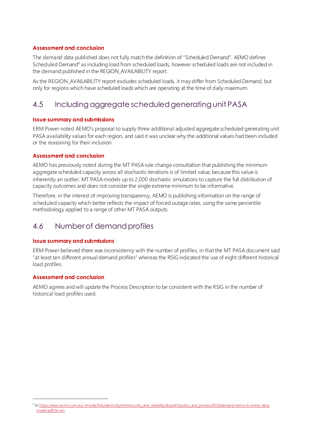#### <span id="page-16-2"></span>**Assessment and conclusion**

The demand data published does not fully match the definition of "Scheduled Demand". AEMO defines Scheduled Demand<sup>6</sup> as including load from scheduled loads, however scheduled loads are not included in the demand published in the REGION\_AVAILABILITY report.

<span id="page-16-3"></span>As the REGION\_AVAILABILITY report excludes scheduled loads, it may differ from Scheduled Demand, but only for regions which have scheduled loads which are operating at the time of daily maximum.

## <span id="page-16-0"></span>4.5 Including aggregate scheduled generating unit PASA

#### **Issue summary and submissions**

ERM Power noted AEMO's proposal to supply three additional adjusted aggregate scheduled generating unit PASA availability values for each region, and said it was unclear why the additional values had been included or the reasoning for their inclusion.

#### **Assessment and conclusion**

AEMO has previously noted during the MT PASA rule change consultation that publishing the minimum aggregate scheduled capacity across all stochastic iterations is of limited value, because this value is inherently an outlier. MT PASA models up to 2,000 stochastic simulations to capture the full distribution of capacity outcomes and does not consider the single extreme minimum to be informative.

Therefore, in the interest of improving transparency, AEMO is publishing information on the range of scheduled capacity which better reflects the impact of forced outage rates, using the same percentile methodology applied to a range of other MT PASA outputs.

### <span id="page-16-1"></span>4.6 Number of demand profiles

#### **Issue summary and submissions**

ERM Power believed there was inconsistency with the number of profiles, in that the MT PASA document said "at least ten different annual demand profiles" whereas the RSIG indicated the use of eight different historical load profiles.

#### **Assessment and conclusion**

AEMO agrees and will update the Process Description to be consistent with the RSIG in the number of historical load profiles used.

<sup>6</sup> A[t https://www.aemo.com.au/-/media/files/electricity/nem/security\\_and\\_reliability/dispatch/policy\\_and\\_process/2020/demand-terms-in-emms-data](https://www.aemo.com.au/-/media/files/electricity/nem/security_and_reliability/dispatch/policy_and_process/2020/demand-terms-in-emms-data-model.pdf?la=en)[model.pdf?la=en](https://www.aemo.com.au/-/media/files/electricity/nem/security_and_reliability/dispatch/policy_and_process/2020/demand-terms-in-emms-data-model.pdf?la=en).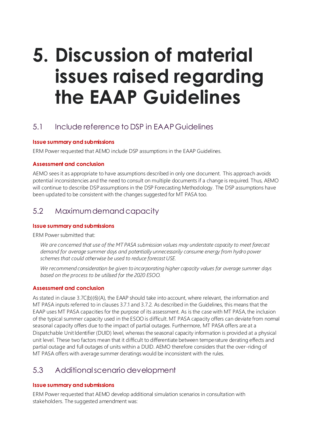## <span id="page-17-5"></span><span id="page-17-4"></span><span id="page-17-0"></span>**5. Discussion of material issues raised regarding the EAAP Guidelines**

## <span id="page-17-1"></span>5.1 Include reference to DSP in EAAP Guidelines

#### **Issue summary and submissions**

ERM Power requested that AEMO include DSP assumptions in the EAAP Guidelines.

#### **Assessment and conclusion**

AEMO sees it as appropriate to have assumptions described in only one document. This approach avoids potential inconsistencies and the need to consult on multiple documents if a change is required. Thus, AEMO will continue to describe DSP assumptions in the DSP Forecasting Methodology. The DSP assumptions have been updated to be consistent with the changes suggested for MT PASA too.

## <span id="page-17-2"></span>5.2 Maximum demand capacity

#### **Issue summary and submissions**

<span id="page-17-6"></span>ERM Power submitted that:

*We are concerned that use of the MT PASA submission values may understate capacity to meet forecast demand for average summer days and potentially unnecessarily consume energy from hydro power schemes that could otherwise be used to reduce forecast USE.*

*We recommend consideration be given to incorporating higher capacity values for average summer days based on the process to be utilised for the 2020 ESOO.*

#### **Assessment and conclusion**

As stated in clause 3.7C(b)(6)(A), the EAAP should take into account, where relevant, the information and MT PASA inputs referred to in clauses 3.7.1 and 3.7.2. As described in the Guidelines, this means that the EAAP uses MT PASA capacities for the purpose of its assessment. As is the case with MT PASA, the inclusion of the typical summer capacity used in the ESOO is difficult. MT PASA capacity offers can deviate from normal seasonal capacity offers due to the impact of partial outages. Furthermore, MT PASA offers are at a Dispatchable Unit Identifier (DUID) level, whereas the seasonal capacity information is provided at a physical unit level. These two factors mean that it difficult to differentiate between temperature derating effects and partial outage and full outages of units within a DUID. AEMO therefore considers that the over-riding of MT PASA offers with average summer deratings would be inconsistent with the rules.

## <span id="page-17-3"></span>5.3 Additional scenario development

#### **Issue summary and submissions**

ERM Power requested that AEMO develop additional simulation scenarios in consultation with stakeholders. The suggested amendment was: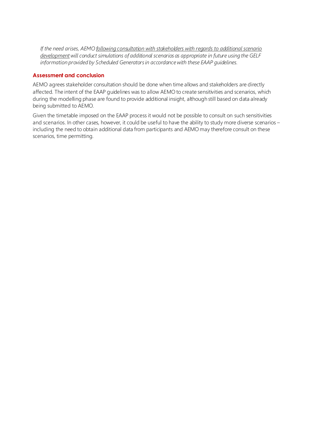*If the need arises, AEMO following consultation with stakeholders with regards to additional scenario developmentwill conduct simulations of additional scenarios as appropriate in future using the GELF information provided by Scheduled Generators in accordance with these EAAP guidelines.*

#### **Assessment and conclusion**

AEMO agrees stakeholder consultation should be done when time allows and stakeholders are directly affected. The intent of the EAAP guidelines was to allow AEMO to create sensitivities and scenarios, which during the modelling phase are found to provide additional insight, although still based on data already being submitted to AEMO.

Given the timetable imposed on the EAAP process it would not be possible to consult on such sensitivities and scenarios. In other cases, however, it could be useful to have the ability to study more diverse scenarios – including the need to obtain additional data from participants and AEMO may therefore consult on these scenarios, time permitting.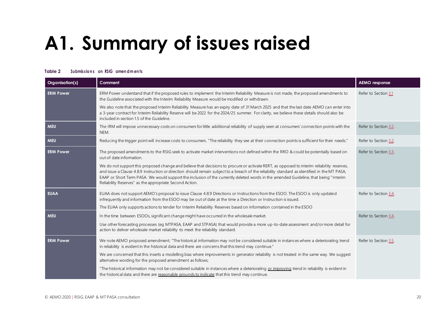# **A1. Summary of issues raised**

#### **Table 2** Submissions on RSIG amendments

<span id="page-19-1"></span><span id="page-19-0"></span>

| Organisation(s)  | Comment                                                                                                                                                                                                                                                                                                                                                                                                                                                                                        | <b>AEMO</b> response  |
|------------------|------------------------------------------------------------------------------------------------------------------------------------------------------------------------------------------------------------------------------------------------------------------------------------------------------------------------------------------------------------------------------------------------------------------------------------------------------------------------------------------------|-----------------------|
| <b>ERM Power</b> | ERM Power understand that if the proposed rules to implement the Interim Reliability Measure is not made, the proposed amendments to<br>the Guideline associated with the Interim Reliability Measure would be modified or withdrawn.                                                                                                                                                                                                                                                          | Refer to Section 3.1  |
|                  | We also note that the proposed Interim Reliability Measure has an expiry date of 31 March 2025 and that the last date AEMO can enter into<br>a 3-year contract for Interim Reliability Reserve will be 2022 for the 2024/25 summer. For clarity, we believe these details should also be<br>included in section 1.5 of the Guideline.                                                                                                                                                          |                       |
| <b>MEU</b>       | The IRM will impose unnecessary costs on consumers for little additional reliability of supply seen at consumers' connection points with the<br>NEM.                                                                                                                                                                                                                                                                                                                                           | Refer to Section 3.2. |
| <b>MEU</b>       | Reducing the trigger point will increase costs to consumers. "The reliability they see at their connection points is sufficient for their needs."                                                                                                                                                                                                                                                                                                                                              | Refer to Section 3.2. |
| <b>ERM Power</b> | The proposed amendments to the RSIG seek to activate market interventions not defined within the RRO & could be potentially based on<br>out of date information.                                                                                                                                                                                                                                                                                                                               | Refer to Section 3.3. |
|                  | We do not support this proposed change and believe that decisions to procure or activate RERT, as opposed to interim reliability reserves,<br>and issue a Clause 4.8.9 instruction or direction should remain subject to a breach of the reliability standard as identified in the MT PASA,<br>EAAP or Short Term PASA. We would support the inclusion of the currently deleted words in the amended Guideline, that being "Interim<br>Reliability Reserves" as the appropriate Second Action. |                       |
| <b>EUAA</b>      | EUAA does not support AEMO's proposal to issue Clause 4.8.9 Directions or Instructions from the ESOO. The ESOO is only updated<br>infrequently and information from the ESOO may be out of date at the time a Direction or Instruction is issued.<br>The EUAA only supports actions to tender for Interim Reliability Reserves based on information contained in the ESOO                                                                                                                      | Refer to Section 3.4. |
| <b>MEU</b>       | In the time between ESOOs, significant change might have occurred in the wholesale market.                                                                                                                                                                                                                                                                                                                                                                                                     | Refer to Section 3.4. |
|                  | Use other forecasting processes (eg MTPASA, EAAP and STPASA) that would provide a more up-to-date assessment and/or more detail for<br>action to deliver wholesale market reliability to meet the reliability standard.                                                                                                                                                                                                                                                                        |                       |
| <b>ERM Power</b> | We note AEMO proposed amendment; "The historical information may not be considered suitable in instances where a deteriorating trend<br>in reliability is evident in the historical data and there are concerns that this trend may continue."                                                                                                                                                                                                                                                 | Refer to Section 3.5. |
|                  | We are concerned that this inserts a modelling bias where improvements in generator reliability is not treated in the same way. We suggest<br>alternative wording for the proposed amendment as follows;                                                                                                                                                                                                                                                                                       |                       |
|                  | "The historical information may not be considered suitable in instances where a deteriorating or improving trend in reliability is evident in<br>the historical data and there are reasonable grounds to indicate that this trend may continue.                                                                                                                                                                                                                                                |                       |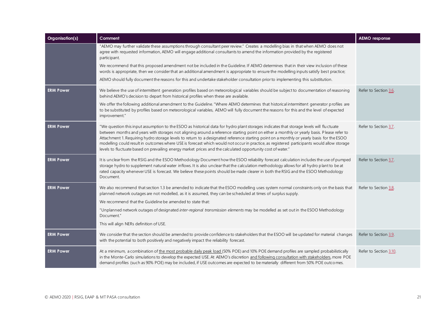| Organisation(s)  | Comment                                                                                                                                                                                                                                                                                                                                                                                                                                                                                                                                                                                                                                                                                         | <b>AEMO</b> response   |
|------------------|-------------------------------------------------------------------------------------------------------------------------------------------------------------------------------------------------------------------------------------------------------------------------------------------------------------------------------------------------------------------------------------------------------------------------------------------------------------------------------------------------------------------------------------------------------------------------------------------------------------------------------------------------------------------------------------------------|------------------------|
|                  | "AEMO may further validate these assumptions through consultant peer review." Creates a modelling bias in that when AEMO does not<br>agree with requested information, AEMO will engage additional consultants to amend the information provided by the registered<br>participant.                                                                                                                                                                                                                                                                                                                                                                                                              |                        |
|                  | We recommend that this proposed amendment not be included in the Guideline. If AEMO determines that in their view inclusion of these<br>words is appropriate, then we consider that an additional amendment is appropriate to ensure the modelling inputs satisfy best practice;                                                                                                                                                                                                                                                                                                                                                                                                                |                        |
|                  | AEMO should fully document the reasons for this and undertake stakeholder consultation prior to implementing this substitution.                                                                                                                                                                                                                                                                                                                                                                                                                                                                                                                                                                 |                        |
| <b>ERM Power</b> | We believe the use of intermittent generation profiles based on meteorological variables should be subject to documentation of reasoning<br>behind AEMO's decision to depart from historical profiles when these are available.                                                                                                                                                                                                                                                                                                                                                                                                                                                                 | Refer to Section 3.6.  |
|                  | We offer the following additional amendment to the Guideline. "Where AEMO determines that historical intermittent generator profiles are<br>to be substituted by profiles based on meteorological variables, AEMO will fully document the reasons for this and the level of expected<br>improvement."                                                                                                                                                                                                                                                                                                                                                                                           |                        |
| <b>ERM Power</b> | "We question this input assumption to the ESOO as historical data for hydro plant storages indicates that storage levels will fluctuate<br>between months and years with storages not aligning around a reference starting point on either a monthly or yearly basis. Please refer to<br>Attachment 1. Requiring hydro storage levels to return to a designated reference starting point on a monthly or yearly basis for the ESOO<br>modelling could result in outcomes where USE is forecast which would not occur in practice, as registered participants would allow storage<br>levels to fluctuate based on prevailing energy market prices and the calculated opportunity cost of water." | Refer to Section 3.7.  |
| <b>ERM Power</b> | It is unclear from the RSIG and the ESOO Methodology Document how the ESOO reliability forecast calculation includes the use of pumped<br>storage hydro to supplement natural water inflows. It is also unclear that the calculation methodology allows for all hydro plant to be at<br>rated capacity whenever USE is forecast. We believe these points should be made clearer in both the RSIG and the ESOO Methodology<br>Document.                                                                                                                                                                                                                                                          | Refer to Section 3.7.  |
| <b>ERM Power</b> | We also recommend that section 1.3 be amended to indicate that the ESOO modelling uses system normal constraints only on the basis that<br>planned network outages are not modelled, as it is assumed, they can be scheduled at times of surplus supply.                                                                                                                                                                                                                                                                                                                                                                                                                                        | Refer to Section 3.8.  |
|                  | We recommend that the Guideline be amended to state that:                                                                                                                                                                                                                                                                                                                                                                                                                                                                                                                                                                                                                                       |                        |
|                  | "Unplanned network outages of designated inter-regional transmission elements may be modelled as set out in the ESOO Methodology<br>Document."                                                                                                                                                                                                                                                                                                                                                                                                                                                                                                                                                  |                        |
|                  | This will align NERs definition of USE.                                                                                                                                                                                                                                                                                                                                                                                                                                                                                                                                                                                                                                                         |                        |
| <b>ERM Power</b> | We consider that the section should be amended to provide confidence to stakeholders that the ESOO will be updated for material changes<br>with the potential to both positively and negatively impact the reliability forecast.                                                                                                                                                                                                                                                                                                                                                                                                                                                                | Refer to Section 3.9.  |
| <b>ERM Power</b> | At a minimum, a combination of the most probable daily peak load (50% POE) and 10% POE demand profiles are sampled probabilistically<br>in the Monte-Carlo simulations to develop the expected USE. At AEMO's discretion and following consultation with stakeholders, more POE<br>demand profiles (such as 90% POE) may be included, if USE outcomes are expected to be materially different from 50% POE outcomes.                                                                                                                                                                                                                                                                            | Refer to Section 3.10. |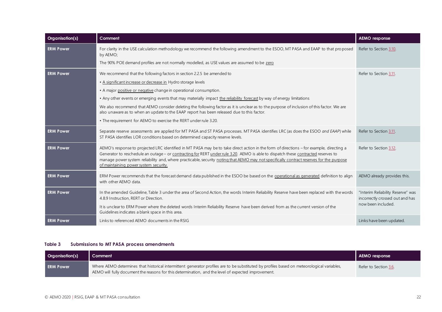| Organisation(s)  | Comment                                                                                                                                                                                                                                                                                                                                                                                                                                                             | <b>AEMO</b> response                                                 |
|------------------|---------------------------------------------------------------------------------------------------------------------------------------------------------------------------------------------------------------------------------------------------------------------------------------------------------------------------------------------------------------------------------------------------------------------------------------------------------------------|----------------------------------------------------------------------|
| <b>ERM Power</b> | For clarity in the USE calculation methodology we recommend the following amendment to the ESOO, MTPASA and EAAP to that proposed<br>by AEMO;<br>The 90% POE demand profiles are not normally modelled, as USE values are assumed to be zero                                                                                                                                                                                                                        | Refer to Section 3.10.                                               |
|                  |                                                                                                                                                                                                                                                                                                                                                                                                                                                                     |                                                                      |
| <b>ERM Power</b> | We recommend that the following factors in section 2.2.5 be amended to                                                                                                                                                                                                                                                                                                                                                                                              | Refer to Section 3.11.                                               |
|                  | . A significant increase or decrease in Hydro storage levels                                                                                                                                                                                                                                                                                                                                                                                                        |                                                                      |
|                  | • A major positive or negative change in operational consumption.                                                                                                                                                                                                                                                                                                                                                                                                   |                                                                      |
|                  | . Any other events or emerging events that may materially impact the reliability forecast by way of energy limitations                                                                                                                                                                                                                                                                                                                                              |                                                                      |
|                  | We also recommend that AEMO consider deleting the following factor as it is unclear as to the purpose of inclusion of this factor. We are<br>also unaware as to when an update to the EAAP report has been released due to this factor.                                                                                                                                                                                                                             |                                                                      |
|                  | • The requirement for AEMO to exercise the RERT under rule 3.20.                                                                                                                                                                                                                                                                                                                                                                                                    |                                                                      |
| <b>ERM Power</b> | Separate reserve assessments are applied for MT PASA and ST PASA processes. MT PASA identifies LRC (as does the ESOO and EAAP) while<br>ST PASA identifies LOR conditions based on determined capacity reserve levels.                                                                                                                                                                                                                                              | Refer to Section 3.11.                                               |
| <b>ERM Power</b> | AEMO's response to projected LRC identified in MT PASA may be to take direct action in the form of directions - for example, directing a<br>Generator to reschedule an outage - or contracting for RERT under rule 3.20. AEMO is able to dispatch these contracted reserves to<br>manage power system reliability and, where practicable, security noting that AEMO may not specifically contract reserves for the purpose<br>of maintaining power system security. | Refer to Section 3.12.                                               |
| <b>ERM Power</b> | ERM Power recommends that the forecast demand data published in the ESOO be based on the operational as generated definition to align<br>with other AEMO data.                                                                                                                                                                                                                                                                                                      | AEMO already provides this.                                          |
| <b>ERM Power</b> | In the amended Guideline, Table 3 under the area of Second Action, the words Interim Reliability Reserve have been replaced with the words<br>4.8.9 Instruction, RERT or Direction.                                                                                                                                                                                                                                                                                 | "Interim Reliability Reserve" was<br>incorrectly crossed out and has |
|                  | It is unclear to ERM Power where the deleted words Interim Reliability Reserve have been derived from as the current version of the<br>Guidelines indicates a blank space in this area.                                                                                                                                                                                                                                                                             | now been included.                                                   |
| <b>ERM Power</b> | Links to referenced AEMO documents in the RSIG                                                                                                                                                                                                                                                                                                                                                                                                                      | Links have been updated.                                             |

#### **Table 3 Submissions to MT PASA process amendments**

<span id="page-21-0"></span>

| Organisation(s)  | Comment                                                                                                                                                                                                                                           | AEMO response         |
|------------------|---------------------------------------------------------------------------------------------------------------------------------------------------------------------------------------------------------------------------------------------------|-----------------------|
| <b>ERM Power</b> | Where AEMO determines that historical intermittent generator profiles are to be substituted by profiles based on meteorological variables,<br>AEMO will fully document the reasons for this determination, and the level of expected improvement. | Refer to Section 3.6. |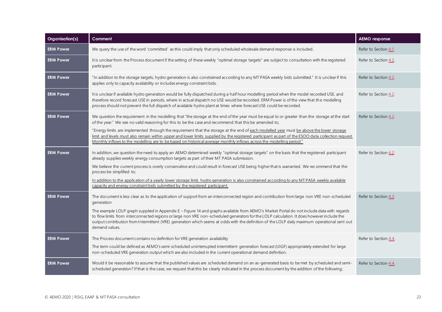| Organisation(s)  | Comment                                                                                                                                                                                                                                                                                                                                                                                                                                                                                                                                                                                                                                                                              | <b>AEMO</b> response  |
|------------------|--------------------------------------------------------------------------------------------------------------------------------------------------------------------------------------------------------------------------------------------------------------------------------------------------------------------------------------------------------------------------------------------------------------------------------------------------------------------------------------------------------------------------------------------------------------------------------------------------------------------------------------------------------------------------------------|-----------------------|
| <b>ERM Power</b> | We query the use of the word 'committed' as this could imply that only scheduled wholesale demand response is included.                                                                                                                                                                                                                                                                                                                                                                                                                                                                                                                                                              | Refer to Section 4.1. |
| <b>ERM Power</b> | It is unclear from the Process document if the setting of these weekly "optimal storage targets" are subject to consultation with the registered<br>participant.                                                                                                                                                                                                                                                                                                                                                                                                                                                                                                                     | Refer to Section 4.2. |
| <b>ERM Power</b> | "In addition to the storage targets, hydro generation is also constrained according to any MT PASA weekly bids submitted." It is unclear if this<br>applies only to capacity availability or includes energy constraint bids.                                                                                                                                                                                                                                                                                                                                                                                                                                                        | Refer to Section 4.2. |
| <b>ERM Power</b> | It is unclear if available hydro generation would be fully dispatched during a half hour modelling period when the model recorded USE, and<br>therefore record forecast USE in periods, where in actual dispatch no USE would be recorded. ERM Power is of the view that the modelling<br>process should not prevent the full dispatch of available hydro plant at times where forecast USE could be recorded.                                                                                                                                                                                                                                                                       | Refer to Section 4.2. |
| <b>ERM Power</b> | We question the requirement in the modelling that "the storage at the end of the year must be equal to or greater than the storage at the start<br>of the year." We see no valid reasoning for this to be the case and recommend that this be amended to;<br>"Energy limits are implemented through the requirement that the storage at the end of each modelled year must be above the lower storage<br>limit and levels must also remain within upper and lower limits supplied by the registered participant as part of the ESOO data collection request.<br>Monthly inflows to the modelling are to be based on historical average monthly inflows across the modelling period." | Refer to Section 4.2. |
| <b>ERM Power</b> | In addition, we question the need to apply an AEMO determined weekly "optimal storage targets" on the basis that the registered participant<br>already supplies weekly energy consumption targets as part of their MT PASA submission.<br>We believe the current process is overly conservative and could result in forecast USE being higher that is warranted. We recommend that the<br>process be simplified to;<br>In addition to the application of a yearly lower storage limit, hydro generation is also constrained according to any MT PASA weekly available<br>capacity and energy constraint bids submitted by the registered participant.                                | Refer to Section 4.2. |
| <b>ERM Power</b> | The document is less clear as to the application of support from an interconnected region and contribution from large non VRE non-scheduled<br>generation<br>The example LOLP graph supplied in Appendix E - Figure 14 and graphs available from AEMO's Market Portal do not include data with regards<br>to flow limits from interconnected regions or large non VRE non-scheduled generators for the LOLP calculation. It does however include the<br>output contribution from Intermittent (VRE) generation which seems at odds with the definition of the LOLP daily maximum operational sent out<br>demand values.                                                              | Refer to Section 4.3. |
| <b>ERM Power</b> | The Process document contains no definition for VRE generation availability<br>The term could be defined as AEMO's semi-scheduled uninterrupted intermittent generation forecast (UIGF) appropriately extended for large<br>non-scheduled VRE generation output which are also included in the current operational demand definition.                                                                                                                                                                                                                                                                                                                                                | Refer to Section 4.4. |
| <b>ERM Power</b> | Would it be reasonable to assume that the published values are scheduled demand on an as-generated basis to be met by scheduled and semi-<br>scheduled generation? If that is the case, we request that this be clearly indicated in the process document by the addition of the following;                                                                                                                                                                                                                                                                                                                                                                                          | Refer to Section 4.4. |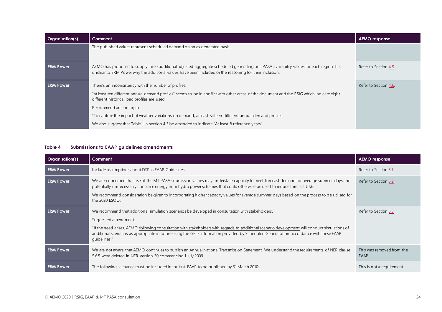| <b>Organisation(s)</b> | Comment                                                                                                                                                                                                                                              | <b>AEMO</b> response  |
|------------------------|------------------------------------------------------------------------------------------------------------------------------------------------------------------------------------------------------------------------------------------------------|-----------------------|
|                        | The published values represent scheduled demand on an as generated basis.                                                                                                                                                                            |                       |
| <b>ERM Power</b>       | AEMO has proposed to supply three additional adjusted aggregate scheduled generating unit PASA availability values for each region. It is<br>unclear to ERM Power why the additional values have been included or the reasoning for their inclusion. | Refer to Section 4.5. |
| <b>ERM Power</b>       | There's an inconsistency with the number of profiles:<br>"at least ten different annual demand profiles" seems to be in conflict with other areas of the document and the RSIG which indicate eight<br>different historical load profiles are used   | Refer to Section 4.6. |
|                        | Recommend amending to:<br>"To capture the impact of weather variations on demand, at least sixteen different annual demand profiles<br>We also suggest that Table 1 in section 4.3 be amended to indicate "At least 8 reference years"               |                       |

#### **Table 4 Submissions to EAAP guidelines amendments**

<span id="page-23-0"></span>

| Organisation(s)  | Comment                                                                                                                                                                                                                                                                                                                                                                                                                                | <b>AEMO</b> response               |
|------------------|----------------------------------------------------------------------------------------------------------------------------------------------------------------------------------------------------------------------------------------------------------------------------------------------------------------------------------------------------------------------------------------------------------------------------------------|------------------------------------|
| <b>ERM Power</b> | Include assumptions about DSP in EAAP Guidelines                                                                                                                                                                                                                                                                                                                                                                                       | Refer to Section 5.1.              |
| <b>ERM Power</b> | We are concerned that use of the MT PASA submission values may understate capacity to meet forecast demand for average summer days and<br>potentially unnecessarily consume energy from hydro power schemes that could otherwise be used to reduce forecast USE.<br>We recommend consideration be given to incorporating higher capacity values for average summer days based on the process to be utilised for<br>the 2020 ESOO.      | Refer to Section 5.2.              |
| <b>ERM Power</b> | We recommend that additional simulation scenarios be developed in consultation with stakeholders.<br>Suggested amendment:<br>"If the need arises, AEMO following consultation with stakeholders with regards to additional scenario development will conduct simulations of<br>additional scenarios as appropriate in future using the GELF information provided by Scheduled Generators in accordance with these EAAP<br>quidelines." | Refer to Section 5.3.              |
| <b>ERM Power</b> | We are not aware that AEMO continues to publish an Annual National Transmission Statement. We understand the requirements of NER clause<br>5.6.5 were deleted in NER Version 30 commencing 1 July 2009.                                                                                                                                                                                                                                | This was removed from the<br>EAAP. |
| <b>ERM Power</b> | The following scenarios must be included in the first EAAP to be published by 31 March 2010:                                                                                                                                                                                                                                                                                                                                           | This is not a requirement.         |